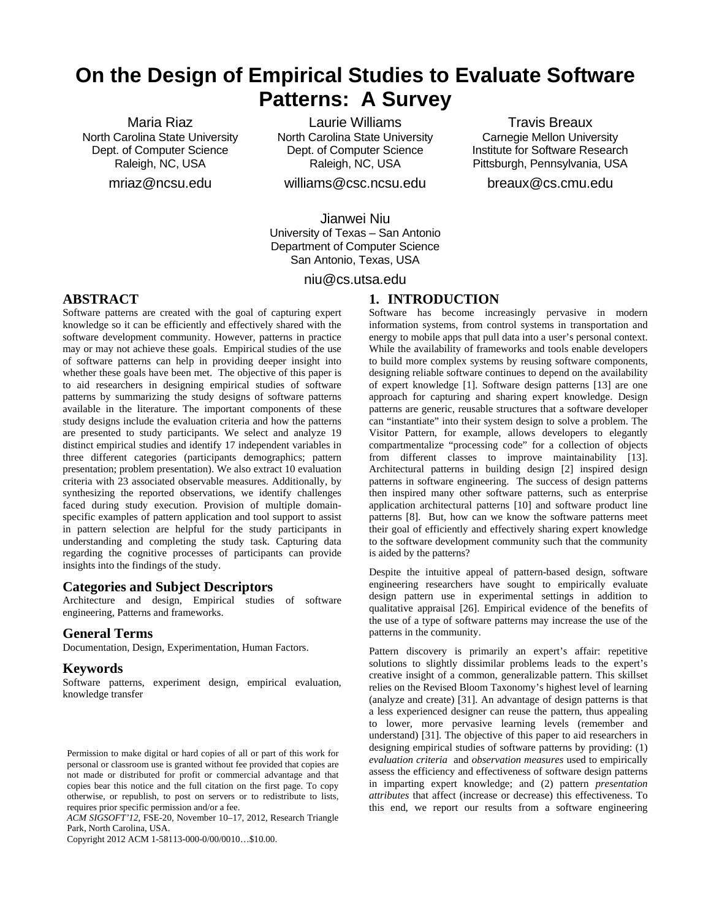# **On the Design of Empirical Studies to Evaluate Software Patterns: A Survey**

Maria Riaz North Carolina State University Dept. of Computer Science Raleigh, NC, USA

mriaz@ncsu.edu

Laurie Williams North Carolina State University Dept. of Computer Science Raleigh, NC, USA

williams@csc.ncsu.edu

Jianwei Niu University of Texas – San Antonio Department of Computer Science San Antonio, Texas, USA

niu@cs.utsa.edu

# **1. INTRODUCTION**

knowledge so it can be efficiently and effectively shared with the software development community. However, patterns in practice may or may not achieve these goals. Empirical studies of the use of software patterns can help in providing deeper insight into whether these goals have been met. The objective of this paper is to aid researchers in designing empirical studies of software patterns by summarizing the study designs of software patterns available in the literature. The important components of these study designs include the evaluation criteria and how the patterns are presented to study participants. We select and analyze 19 distinct empirical studies and identify 17 independent variables in three different categories (participants demographics; pattern presentation; problem presentation). We also extract 10 evaluation criteria with 23 associated observable measures. Additionally, by synthesizing the reported observations, we identify challenges faced during study execution. Provision of multiple domainspecific examples of pattern application and tool support to assist in pattern selection are helpful for the study participants in understanding and completing the study task. Capturing data regarding the cognitive processes of participants can provide

Software patterns are created with the goal of capturing expert

# **Categories and Subject Descriptors**

insights into the findings of the study.

Architecture and design, Empirical studies of software engineering, Patterns and frameworks.

## **General Terms**

**ABSTRACT**

Documentation, Design, Experimentation, Human Factors.

## **Keywords**

Software patterns, experiment design, empirical evaluation, knowledge transfer

*ACM SIGSOFT'12*, FSE-20, November 10–17, 2012, Research Triangle Park, North Carolina, USA.

Copyright 2012 ACM 1-58113-000-0/00/0010…\$10.00.

Software has become increasingly pervasive in modern information systems, from control systems in transportation and energy to mobile apps that pull data into a user's personal context. While the availability of frameworks and tools enable developers to build more complex systems by reusing software components, designing reliable software continues to depend on the availability of expert knowledge [\[1\]](#page-9-0). Software design patterns [\[13\]](#page-9-1) are one approach for capturing and sharing expert knowledge. Design patterns are generic, reusable structures that a software developer can "instantiate" into their system design to solve a problem. The Visitor Pattern, for example, allows developers to elegantly compartmentalize "processing code" for a collection of objects from different classes to improve maintainability [\[13\]](#page-9-1). Architectural patterns in building design [\[2\]](#page-9-2) inspired design patterns in software engineering. The success of design patterns then inspired many other software patterns, such as enterprise application architectural patterns [\[10\]](#page-9-3) and software product line patterns [\[8\]](#page-9-4). But, how can we know the software patterns meet their goal of efficiently and effectively sharing expert knowledge to the software development community such that the community is aided by the patterns?

Travis Breaux Carnegie Mellon University Institute for Software Research Pittsburgh, Pennsylvania, USA breaux@cs.cmu.edu

Despite the intuitive appeal of pattern-based design, software engineering researchers have sought to empirically evaluate design pattern use in experimental settings in addition to qualitative appraisal [\[26\]](#page-10-0). Empirical evidence of the benefits of the use of a type of software patterns may increase the use of the patterns in the community.

Pattern discovery is primarily an expert's affair: repetitive solutions to slightly dissimilar problems leads to the expert's creative insight of a common, generalizable pattern. This skillset relies on the Revised Bloom Taxonomy's highest level of learning (analyze and create) [\[31\]](#page-10-1). An advantage of design patterns is that a less experienced designer can reuse the pattern, thus appealing to lower, more pervasive learning levels (remember and understand) [\[31\]](#page-10-1). The objective of this paper to aid researchers in designing empirical studies of software patterns by providing: (1) *evaluation criteria* and *observation measures* used to empirically assess the efficiency and effectiveness of software design patterns in imparting expert knowledge; and (2) pattern *presentation attributes* that affect (increase or decrease) this effectiveness. To this end, we report our results from a software engineering

Permission to make digital or hard copies of all or part of this work for personal or classroom use is granted without fee provided that copies are not made or distributed for profit or commercial advantage and that copies bear this notice and the full citation on the first page. To copy otherwise, or republish, to post on servers or to redistribute to lists, requires prior specific permission and/or a fee.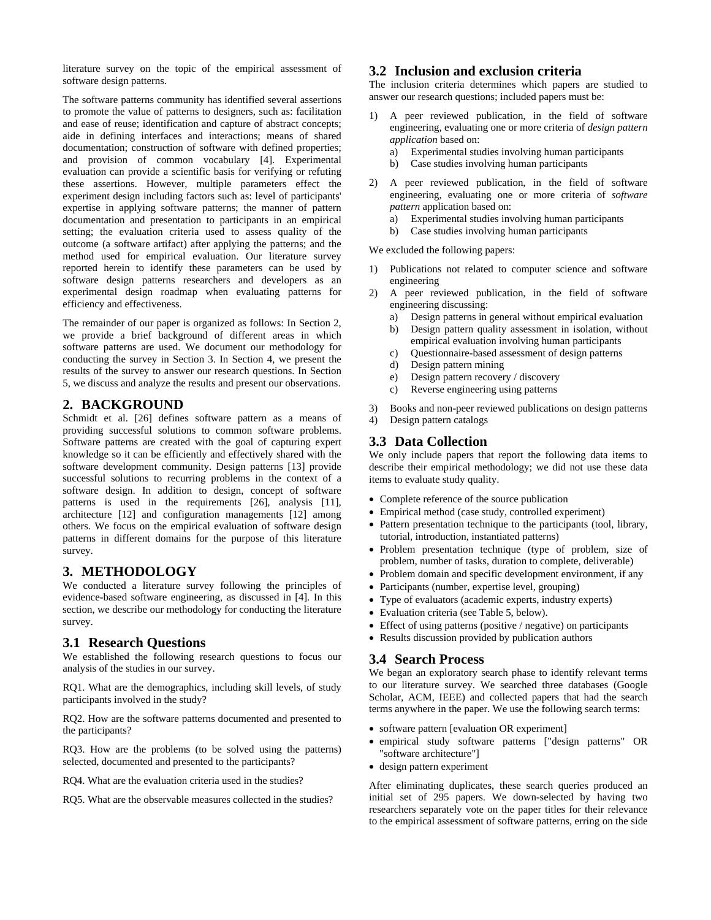literature survey on the topic of the empirical assessment of software design patterns.

The software patterns community has identified several assertions to promote the value of patterns to designers, such as: facilitation and ease of reuse; identification and capture of abstract concepts; aide in defining interfaces and interactions; means of shared documentation; construction of software with defined properties; and provision of common vocabulary [\[4\]](#page-9-5). Experimental evaluation can provide a scientific basis for verifying or refuting these assertions. However, multiple parameters effect the experiment design including factors such as: level of participants' expertise in applying software patterns; the manner of pattern documentation and presentation to participants in an empirical setting; the evaluation criteria used to assess quality of the outcome (a software artifact) after applying the patterns; and the method used for empirical evaluation. Our literature survey reported herein to identify these parameters can be used by software design patterns researchers and developers as an experimental design roadmap when evaluating patterns for efficiency and effectiveness.

The remainder of our paper is organized as follows: In Section 2, we provide a brief background of different areas in which software patterns are used. We document our methodology for conducting the survey in Section 3. In Section 4, we present the results of the survey to answer our research questions. In Section 5, we discuss and analyze the results and present our observations.

## **2. BACKGROUND**

Schmidt et al. [\[26\]](#page-10-0) defines software pattern as a means of providing successful solutions to common software problems. Software patterns are created with the goal of capturing expert knowledge so it can be efficiently and effectively shared with the software development community. Design patterns [\[13\]](#page-9-1) provide successful solutions to recurring problems in the context of a software design. In addition to design, concept of software patterns is used in the requirements [\[26\]](#page-10-0), analysis [\[11\]](#page-9-6), architecture [\[12\]](#page-9-7) and configuration managements [\[12\]](#page-9-7) among others. We focus on the empirical evaluation of software design patterns in different domains for the purpose of this literature survey.

# **3. METHODOLOGY**

We conducted a literature survey following the principles of evidence-based software engineering, as discussed in [\[4\]](#page-9-5). In this section, we describe our methodology for conducting the literature survey.

# **3.1 Research Questions**

We established the following research questions to focus our analysis of the studies in our survey.

RQ1. What are the demographics, including skill levels, of study participants involved in the study?

RQ2. How are the software patterns documented and presented to the participants?

RQ3. How are the problems (to be solved using the patterns) selected, documented and presented to the participants?

- RQ4. What are the evaluation criteria used in the studies?
- RQ5. What are the observable measures collected in the studies?

# **3.2 Inclusion and exclusion criteria**

The inclusion criteria determines which papers are studied to answer our research questions; included papers must be:

- 1) A peer reviewed publication, in the field of software engineering, evaluating one or more criteria of *design pattern application* based on:
	- a) Experimental studies involving human participants
	- b) Case studies involving human participants
- 2) A peer reviewed publication, in the field of software engineering, evaluating one or more criteria of *software pattern* application based on:
	- a) Experimental studies involving human participants
	- b) Case studies involving human participants

We excluded the following papers:

- 1) Publications not related to computer science and software engineering
- 2) A peer reviewed publication, in the field of software engineering discussing:
	- a) Design patterns in general without empirical evaluation
	- b) Design pattern quality assessment in isolation, without empirical evaluation involving human participants
	- c) Questionnaire-based assessment of design patterns
	- d) Design pattern mining
	- e) Design pattern recovery / discovery
	- c) Reverse engineering using patterns
- 3) Books and non-peer reviewed publications on design patterns
- 4) Design pattern catalogs

## **3.3 Data Collection**

We only include papers that report the following data items to describe their empirical methodology; we did not use these data items to evaluate study quality.

- Complete reference of the source publication
- Empirical method (case study, controlled experiment)
- Pattern presentation technique to the participants (tool, library, tutorial, introduction, instantiated patterns)
- Problem presentation technique (type of problem, size of problem, number of tasks, duration to complete, deliverable)
- Problem domain and specific development environment, if any
- Participants (number, expertise level, grouping)
- Type of evaluators (academic experts, industry experts)
- Evaluation criteria (see Table 5, below).
- Effect of using patterns (positive / negative) on participants
- Results discussion provided by publication authors

## **3.4 Search Process**

We began an exploratory search phase to identify relevant terms to our literature survey. We searched three databases (Google Scholar, ACM, IEEE) and collected papers that had the search terms anywhere in the paper. We use the following search terms:

- software pattern [evaluation OR experiment]
- empirical study software patterns ["design patterns" OR "software architecture"]
- design pattern experiment

After eliminating duplicates, these search queries produced an initial set of 295 papers. We down-selected by having two researchers separately vote on the paper titles for their relevance to the empirical assessment of software patterns, erring on the side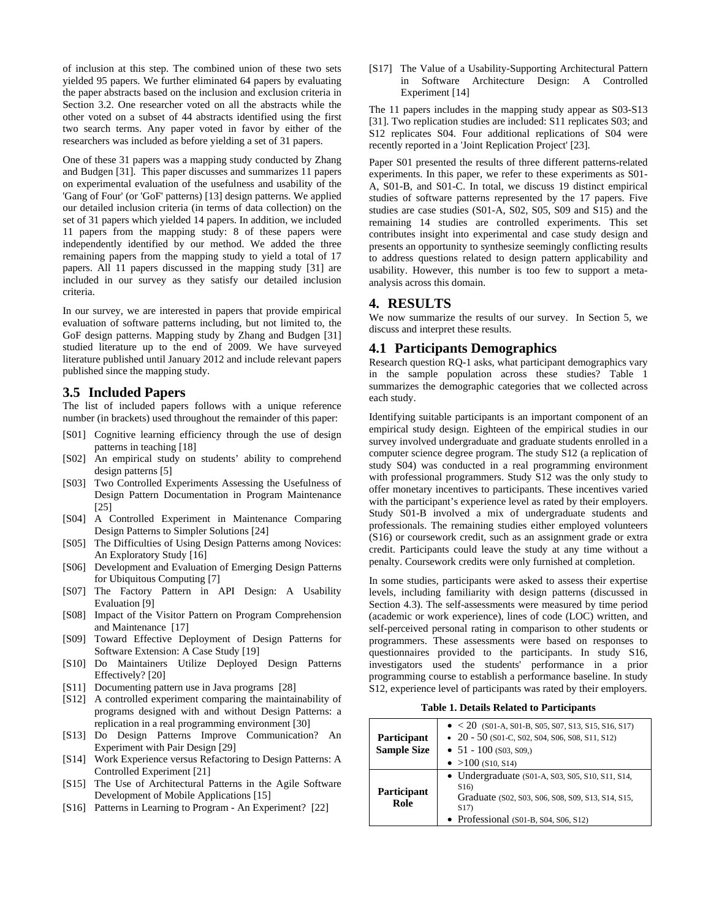of inclusion at this step. The combined union of these two sets yielded 95 papers. We further eliminated 64 papers by evaluating the paper abstracts based on the inclusion and exclusion criteria in Section 3.2. One researcher voted on all the abstracts while the other voted on a subset of 44 abstracts identified using the first two search terms. Any paper voted in favor by either of the researchers was included as before yielding a set of 31 papers.

One of these 31 papers was a mapping study conducted by Zhang and Budgen [\[31\]](#page-10-1). This paper discusses and summarizes 11 papers on experimental evaluation of the usefulness and usability of the 'Gang of Four' (or 'GoF' patterns) [\[13\]](#page-9-1) design patterns. We applied our detailed inclusion criteria (in terms of data collection) on the set of 31 papers which yielded 14 papers. In addition, we included 11 papers from the mapping study: 8 of these papers were independently identified by our method. We added the three remaining papers from the mapping study to yield a total of 17 papers. All 11 papers discussed in the mapping study [\[31\]](#page-10-1) are included in our survey as they satisfy our detailed inclusion criteria.

In our survey, we are interested in papers that provide empirical evaluation of software patterns including, but not limited to, the GoF design patterns. Mapping study by Zhang and Budgen [\[31\]](#page-10-1) studied literature up to the end of 2009. We have surveyed literature published until January 2012 and include relevant papers published since the mapping study.

## **3.5 Included Papers**

The list of included papers follows with a unique reference number (in brackets) used throughout the remainder of this paper:

- [S01] Cognitive learning efficiency through the use of design patterns in teaching [\[18\]](#page-9-8)
- [S02] An empirical study on students' ability to comprehend design patterns [\[5\]](#page-9-9)
- [S03] Two Controlled Experiments Assessing the Usefulness of Design Pattern Documentation in Program Maintenance [\[25\]](#page-9-10)
- [S04] A Controlled Experiment in Maintenance Comparing Design Patterns to Simpler Solutions [\[24\]](#page-9-11)
- [S05] The Difficulties of Using Design Patterns among Novices: An Exploratory Study [\[16\]](#page-9-12)
- [S06] Development and Evaluation of Emerging Design Patterns for Ubiquitous Computing [\[7\]](#page-9-13)
- [S07] The Factory Pattern in API Design: A Usability Evaluation [\[9\]](#page-9-14)
- [S08] Impact of the Visitor Pattern on Program Comprehension and Maintenance [\[17\]](#page-9-15)
- [S09] Toward Effective Deployment of Design Patterns for Software Extension: A Case Study [\[19\]](#page-9-16)
- [S10] Do Maintainers Utilize Deployed Design Patterns Effectively? [\[20\]](#page-9-17)
- [S11] Documenting pattern use in Java programs [\[28\]](#page-10-2)
- [S12] A controlled experiment comparing the maintainability of programs designed with and without Design Patterns: a replication in a real programming environment [\[30\]](#page-10-3)
- [S13] Do Design Patterns Improve Communication? An Experiment with Pair Design [\[29\]](#page-10-4)
- [S14] Work Experience versus Refactoring to Design Patterns: A Controlled Experiment [\[21\]](#page-9-18)
- [S15] The Use of Architectural Patterns in the Agile Software Development of Mobile Applications [\[15\]](#page-9-19)
- [S16] Patterns in Learning to Program An Experiment? [\[22\]](#page-9-20)

[S17] The Value of a Usability-Supporting Architectural Pattern in Software Architecture Design: A Controlled Experiment [\[14\]](#page-9-21)

The 11 papers includes in the mapping study appear as S03-S13 [\[31\]](#page-10-1). Two replication studies are included: S11 replicates S03; and S12 replicates S04. Four additional replications of S04 were recently reported in a 'Joint Replication Project' [\[23\]](#page-9-22).

Paper S01 presented the results of three different patterns-related experiments. In this paper, we refer to these experiments as S01- A, S01-B, and S01-C. In total, we discuss 19 distinct empirical studies of software patterns represented by the 17 papers. Five studies are case studies (S01-A, S02, S05, S09 and S15) and the remaining 14 studies are controlled experiments. This set contributes insight into experimental and case study design and presents an opportunity to synthesize seemingly conflicting results to address questions related to design pattern applicability and usability. However, this number is too few to support a metaanalysis across this domain.

#### **4. RESULTS**

We now summarize the results of our survey. In Section 5, we discuss and interpret these results.

#### **4.1 Participants Demographics**

Research question RQ-1 asks, what participant demographics vary in the sample population across these studies? Table 1 summarizes the demographic categories that we collected across each study.

Identifying suitable participants is an important component of an empirical study design. Eighteen of the empirical studies in our survey involved undergraduate and graduate students enrolled in a computer science degree program. The study S12 (a replication of study S04) was conducted in a real programming environment with professional programmers. Study S12 was the only study to offer monetary incentives to participants. These incentives varied with the participant's experience level as rated by their employers. Study S01-B involved a mix of undergraduate students and professionals. The remaining studies either employed volunteers (S16) or coursework credit, such as an assignment grade or extra credit. Participants could leave the study at any time without a penalty. Coursework credits were only furnished at completion.

In some studies, participants were asked to assess their expertise levels, including familiarity with design patterns (discussed in Section 4.3). The self-assessments were measured by time period (academic or work experience), lines of code (LOC) written, and self-perceived personal rating in comparison to other students or programmers. These assessments were based on responses to questionnaires provided to the participants. In study S16, investigators used the students' performance in a prior programming course to establish a performance baseline. In study S12, experience level of participants was rated by their employers.

**Table 1. Details Related to Participants**

| Participant<br><b>Sample Size</b> | $\bullet$ < 20 (S01-A, S01-B, S05, S07, S13, S15, S16, S17)<br>$\bullet$ 20 - 50 (S01-C, S02, S04, S06, S08, S11, S12)<br>• $51 - 100$ (\$03, \$09.)<br>• $>100$ (S <sub>10</sub> , S <sub>14</sub> ) |
|-----------------------------------|-------------------------------------------------------------------------------------------------------------------------------------------------------------------------------------------------------|
| <b>Participant</b><br>Role        | • Undergraduate $(S01-A, S03, S05, S10, S11, S14, S14)$<br>S <sub>16</sub> )<br>Graduate (S02, S03, S06, S08, S09, S13, S14, S15,<br>S17)<br>• Professional $(S01-B, S04, S06, S12)$                  |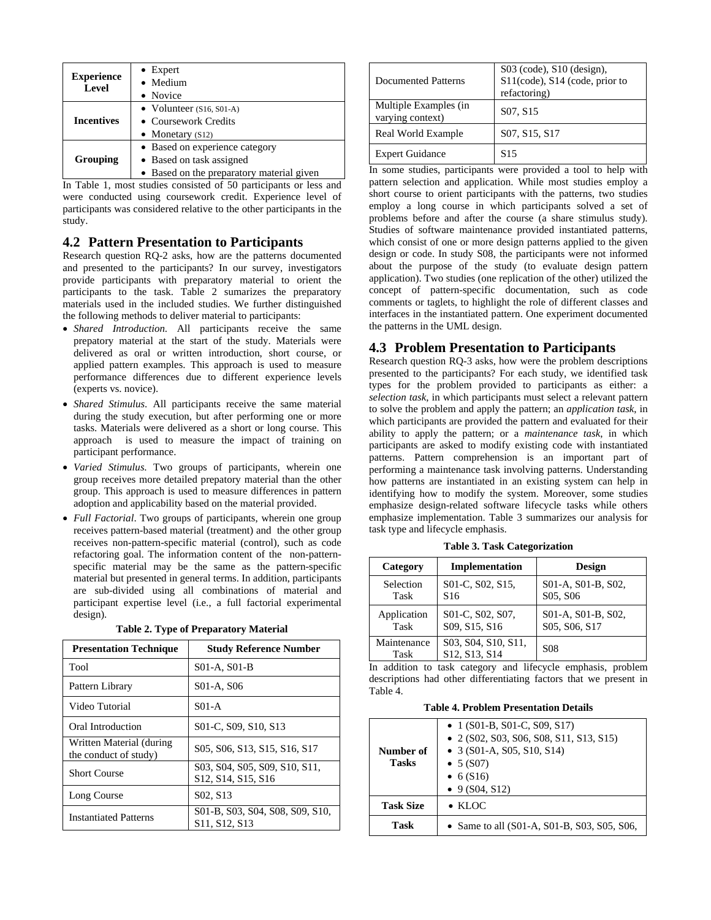|                            | $\bullet$ Expert                          |  |
|----------------------------|-------------------------------------------|--|
| <b>Experience</b><br>Level | • Medium                                  |  |
|                            | • Novice                                  |  |
|                            | • Volunteer $(S16, SO1-A)$                |  |
| <b>Incentives</b>          | • Coursework Credits                      |  |
|                            | $\bullet$ Monetary (S12)                  |  |
|                            | • Based on experience category            |  |
| Grouping                   | • Based on task assigned                  |  |
|                            | • Based on the preparatory material given |  |

In Table 1, most studies consisted of 50 participants or less and were conducted using coursework credit. Experience level of participants was considered relative to the other participants in the study.

# **4.2 Pattern Presentation to Participants**

Research question RQ-2 asks, how are the patterns documented and presented to the participants? In our survey, investigators provide participants with preparatory material to orient the participants to the task. Table 2 sumarizes the preparatory materials used in the included studies. We further distinguished the following methods to deliver material to participants:

- *Shared Introduction*. All participants receive the same prepatory material at the start of the study. Materials were delivered as oral or written introduction, short course, or applied pattern examples. This approach is used to measure performance differences due to different experience levels (experts vs. novice).
- *Shared Stimulus*. All participants receive the same material during the study execution, but after performing one or more tasks. Materials were delivered as a short or long course. This approach is used to measure the impact of training on participant performance.
- *Varied Stimulus*. Two groups of participants, wherein one group receives more detailed prepatory material than the other group. This approach is used to measure differences in pattern adoption and applicability based on the material provided.
- *Full Factorial*. Two groups of participants, wherein one group receives pattern-based material (treatment) and the other group receives non-pattern-specific material (control), such as code refactoring goal. The information content of the non-patternspecific material may be the same as the pattern-specific material but presented in general terms. In addition, participants are sub-divided using all combinations of material and participant expertise level (i.e., a full factorial experimental design).

|  |  | Table 2. Type of Preparatory Material |  |
|--|--|---------------------------------------|--|
|--|--|---------------------------------------|--|

| <b>Presentation Technique</b>                     | <b>Study Reference Number</b>                                                                          |
|---------------------------------------------------|--------------------------------------------------------------------------------------------------------|
| Tool                                              | S01-A, S01-B                                                                                           |
| Pattern Library                                   | S01-A, S06                                                                                             |
| Video Tutorial                                    | S01-A                                                                                                  |
| Oral Introduction                                 | S01-C, S09, S10, S13                                                                                   |
| Written Material (during<br>the conduct of study) | S05, S06, S13, S15, S16, S17                                                                           |
| <b>Short Course</b>                               | S03, S04, S05, S09, S10, S11,<br>S <sub>12</sub> , S <sub>14</sub> , S <sub>15</sub> , S <sub>16</sub> |
| Long Course                                       | S <sub>0</sub> 2, S <sub>13</sub>                                                                      |
| <b>Instantiated Patterns</b>                      | S01-B, S03, S04, S08, S09, S10,<br>S <sub>11</sub> , S <sub>12</sub> , S <sub>13</sub>                 |

| Documented Patterns                       | $S03$ (code), $S10$ (design),<br>S11(code), S14 (code, prior to<br>refactoring) |
|-------------------------------------------|---------------------------------------------------------------------------------|
| Multiple Examples (in<br>varying context) | S <sub>07</sub> , S <sub>15</sub>                                               |
| Real World Example                        | S07, S15, S17                                                                   |
| <b>Expert Guidance</b>                    | S <sub>15</sub>                                                                 |

In some studies, participants were provided a tool to help with pattern selection and application. While most studies employ a short course to orient participants with the patterns, two studies employ a long course in which participants solved a set of problems before and after the course (a share stimulus study). Studies of software maintenance provided instantiated patterns, which consist of one or more design patterns applied to the given design or code. In study S08, the participants were not informed about the purpose of the study (to evaluate design pattern application). Two studies (one replication of the other) utilized the concept of pattern-specific documentation, such as code comments or taglets, to highlight the role of different classes and interfaces in the instantiated pattern. One experiment documented the patterns in the UML design.

# **4.3 Problem Presentation to Participants**

Research question RQ-3 asks, how were the problem descriptions presented to the participants? For each study, we identified task types for the problem provided to participants as either: a *selection task*, in which participants must select a relevant pattern to solve the problem and apply the pattern; an *application task*, in which participants are provided the pattern and evaluated for their ability to apply the pattern; or a *maintenance task*, in which participants are asked to modify existing code with instantiated patterns. Pattern comprehension is an important part of performing a maintenance task involving patterns. Understanding how patterns are instantiated in an existing system can help in identifying how to modify the system. Moreover, some studies emphasize design-related software lifecycle tasks while others emphasize implementation. Table 3 summarizes our analysis for task type and lifecycle emphasis.

|  |  | Table 3. Task Categorization |
|--|--|------------------------------|
|--|--|------------------------------|

| Category            | Implementation                       | <b>Design</b>                                           |
|---------------------|--------------------------------------|---------------------------------------------------------|
| Selection<br>Task   | S01-C, S02, S15,<br>S <sub>16</sub>  | S01-A, S01-B, S02,<br>S <sub>05</sub> , S <sub>06</sub> |
| Application<br>Task | S01-C, S02, S07,<br>S09, S15, S16    | S01-A, S01-B, S02,<br>S05, S06, S17                     |
| Maintenance<br>Task | S03, S04, S10, S11,<br>S12, S13, S14 | <b>S08</b>                                              |

In addition to task category and lifecycle emphasis, problem descriptions had other differentiating factors that we present in Table 4.

**Table 4. Problem Presentation Details**

| Number of<br><b>Tasks</b> | • 1 (S01-B, S01-C, S09, S17)<br>$\bullet$ 2 (S02, S03, S06, S08, S11, S13, S15)<br>• 3 (S01-A, S05, S10, S14)<br>$\bullet$ 5 (S07)<br>• $6(S16)$<br>$\bullet$ 9 (S04, S12) |
|---------------------------|----------------------------------------------------------------------------------------------------------------------------------------------------------------------------|
| <b>Task Size</b>          | $\bullet$ KLOC                                                                                                                                                             |
| Task                      | • Same to all $(S01-A, S01-B, S03, S05, S06, S06)$                                                                                                                         |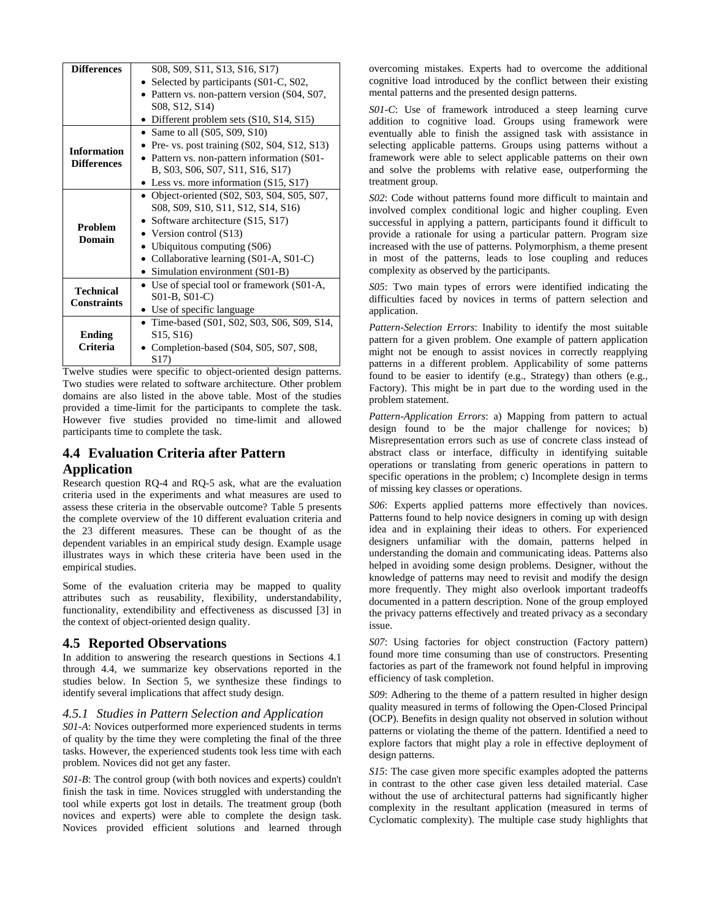| <b>Differences</b> | S08, S09, S11, S13, S16, S17)                      |  |  |  |
|--------------------|----------------------------------------------------|--|--|--|
|                    | • Selected by participants (S01-C, S02,            |  |  |  |
|                    | • Pattern vs. non-pattern version (S04, S07,       |  |  |  |
|                    | S08, S12, S14)                                     |  |  |  |
|                    | • Different problem sets $(S10, S14, S15)$         |  |  |  |
|                    | • Same to all $(S05, S09, S10)$                    |  |  |  |
|                    | Pre- vs. post training (S02, S04, S12, S13)        |  |  |  |
| <b>Information</b> | Pattern vs. non-pattern information (S01-          |  |  |  |
| <b>Differences</b> | B, S03, S06, S07, S11, S16, S17)                   |  |  |  |
|                    | • Less vs. more information $(S15, S17)$           |  |  |  |
|                    | • Object-oriented $(S02, S03, S04, S05, S07, S07)$ |  |  |  |
|                    | S08, S09, S10, S11, S12, S14, S16)                 |  |  |  |
|                    | • Software architecture $(S15, S17)$               |  |  |  |
| <b>Problem</b>     | • Version control $(S13)$                          |  |  |  |
| Domain             | Ubiquitous computing (S06)                         |  |  |  |
|                    | • Collaborative learning $(S01-A, S01-C)$          |  |  |  |
|                    | • Simulation environment (S01-B)                   |  |  |  |
|                    | • Use of special tool or framework (S01-A,         |  |  |  |
| <b>Technical</b>   | S01-B, S01-C)                                      |  |  |  |
| <b>Constraints</b> | • Use of specific language                         |  |  |  |
|                    | • Time-based $(S01, S02, S03, S06, S09, S14,$      |  |  |  |
| <b>Ending</b>      | S <sub>15</sub> , S <sub>16</sub> )                |  |  |  |
| Criteria           | Completion-based (S04, S05, S07, S08,              |  |  |  |
|                    | S <sub>17</sub>                                    |  |  |  |

Twelve studies were specific to object-oriented design patterns. Two studies were related to software architecture. Other problem domains are also listed in the above table. Most of the studies provided a time-limit for the participants to complete the task. However five studies provided no time-limit and allowed participants time to complete the task.

# **4.4 Evaluation Criteria after Pattern Application**

Research question RQ-4 and RQ-5 ask, what are the evaluation criteria used in the experiments and what measures are used to assess these criteria in the observable outcome? Table 5 presents the complete overview of the 10 different evaluation criteria and the 23 different measures. These can be thought of as the dependent variables in an empirical study design. Example usage illustrates ways in which these criteria have been used in the empirical studies.

Some of the evaluation criteria may be mapped to quality attributes such as reusability, flexibility, understandability, functionality, extendibility and effectiveness as discussed [\[3\]](#page-9-23) in the context of object-oriented design quality.

# **4.5 Reported Observations**

In addition to answering the research questions in Sections 4.1 through 4.4, we summarize key observations reported in the studies below. In Section 5, we synthesize these findings to identify several implications that affect study design.

## *4.5.1 Studies in Pattern Selection and Application*

*S01-A*: Novices outperformed more experienced students in terms of quality by the time they were completing the final of the three tasks. However, the experienced students took less time with each problem. Novices did not get any faster.

*S01-B*: The control group (with both novices and experts) couldn't finish the task in time. Novices struggled with understanding the tool while experts got lost in details. The treatment group (both novices and experts) were able to complete the design task. Novices provided efficient solutions and learned through

overcoming mistakes. Experts had to overcome the additional cognitive load introduced by the conflict between their existing mental patterns and the presented design patterns.

*S01-C*: Use of framework introduced a steep learning curve addition to cognitive load. Groups using framework were eventually able to finish the assigned task with assistance in selecting applicable patterns. Groups using patterns without a framework were able to select applicable patterns on their own and solve the problems with relative ease, outperforming the treatment group.

*S02*: Code without patterns found more difficult to maintain and involved complex conditional logic and higher coupling. Even successful in applying a pattern, participants found it difficult to provide a rationale for using a particular pattern. Program size increased with the use of patterns. Polymorphism, a theme present in most of the patterns, leads to lose coupling and reduces complexity as observed by the participants.

*S05*: Two main types of errors were identified indicating the difficulties faced by novices in terms of pattern selection and application.

*Pattern-Selection Errors*: Inability to identify the most suitable pattern for a given problem. One example of pattern application might not be enough to assist novices in correctly reapplying patterns in a different problem. Applicability of some patterns found to be easier to identify (e.g., Strategy) than others (e.g., Factory). This might be in part due to the wording used in the problem statement.

*Pattern-Application Errors*: a) Mapping from pattern to actual design found to be the major challenge for novices; b) Misrepresentation errors such as use of concrete class instead of abstract class or interface, difficulty in identifying suitable operations or translating from generic operations in pattern to specific operations in the problem; c) Incomplete design in terms of missing key classes or operations.

*S06*: Experts applied patterns more effectively than novices. Patterns found to help novice designers in coming up with design idea and in explaining their ideas to others. For experienced designers unfamiliar with the domain, patterns helped in understanding the domain and communicating ideas. Patterns also helped in avoiding some design problems. Designer, without the knowledge of patterns may need to revisit and modify the design more frequently. They might also overlook important tradeoffs documented in a pattern description. None of the group employed the privacy patterns effectively and treated privacy as a secondary issue.

*S07*: Using factories for object construction (Factory pattern) found more time consuming than use of constructors. Presenting factories as part of the framework not found helpful in improving efficiency of task completion.

*S09*: Adhering to the theme of a pattern resulted in higher design quality measured in terms of following the Open-Closed Principal (OCP). Benefits in design quality not observed in solution without patterns or violating the theme of the pattern. Identified a need to explore factors that might play a role in effective deployment of design patterns.

*S15*: The case given more specific examples adopted the patterns in contrast to the other case given less detailed material. Case without the use of architectural patterns had significantly higher complexity in the resultant application (measured in terms of Cyclomatic complexity). The multiple case study highlights that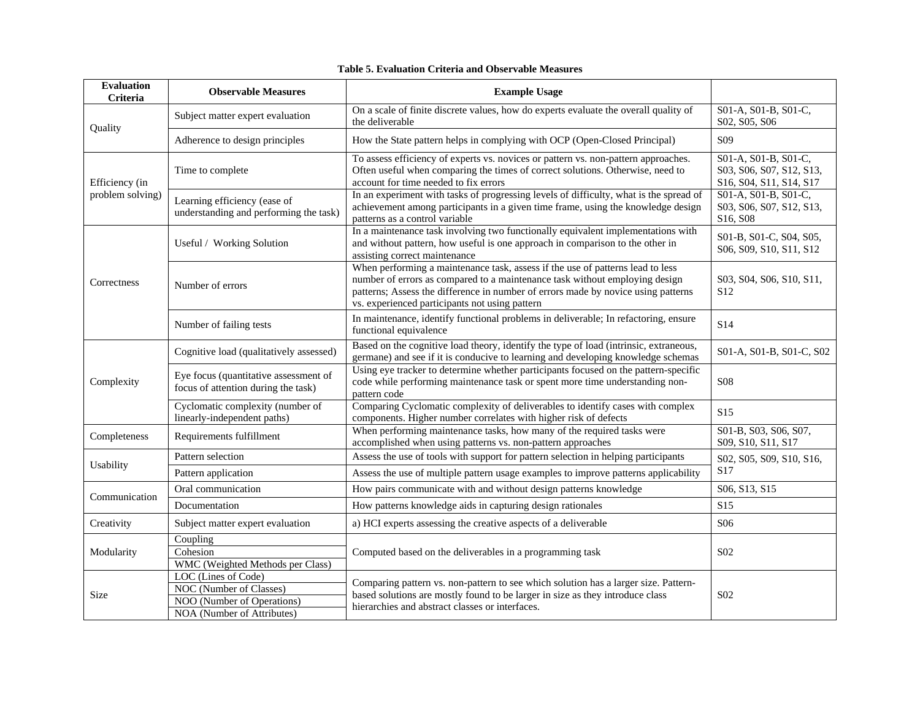| <b>Evaluation</b><br>Criteria      | <b>Observable Measures</b>                                                                                 | <b>Example Usage</b>                                                                                                                                                                                                                                                                                 |                                                                             |  |
|------------------------------------|------------------------------------------------------------------------------------------------------------|------------------------------------------------------------------------------------------------------------------------------------------------------------------------------------------------------------------------------------------------------------------------------------------------------|-----------------------------------------------------------------------------|--|
| Quality                            | Subject matter expert evaluation                                                                           | On a scale of finite discrete values, how do experts evaluate the overall quality of<br>the deliverable                                                                                                                                                                                              | S01-A, S01-B, S01-C,<br>S02, S05, S06                                       |  |
|                                    | Adherence to design principles                                                                             | How the State pattern helps in complying with OCP (Open-Closed Principal)                                                                                                                                                                                                                            | S <sub>09</sub>                                                             |  |
| Efficiency (in<br>problem solving) | Time to complete                                                                                           | To assess efficiency of experts vs. novices or pattern vs. non-pattern approaches.<br>Often useful when comparing the times of correct solutions. Otherwise, need to<br>account for time needed to fix errors                                                                                        | S01-A, S01-B, S01-C,<br>S03, S06, S07, S12, S13,<br>S16, S04, S11, S14, S17 |  |
|                                    | Learning efficiency (ease of<br>understanding and performing the task)                                     | In an experiment with tasks of progressing levels of difficulty, what is the spread of<br>achievement among participants in a given time frame, using the knowledge design<br>patterns as a control variable                                                                                         | S01-A, S01-B, S01-C,<br>S03, S06, S07, S12, S13,<br>S16, S08                |  |
|                                    | Useful / Working Solution                                                                                  | In a maintenance task involving two functionally equivalent implementations with<br>and without pattern, how useful is one approach in comparison to the other in<br>assisting correct maintenance                                                                                                   | S01-B, S01-C, S04, S05,<br>S06, S09, S10, S11, S12                          |  |
| Correctness                        | Number of errors                                                                                           | When performing a maintenance task, assess if the use of patterns lead to less<br>number of errors as compared to a maintenance task without employing design<br>patterns; Assess the difference in number of errors made by novice using patterns<br>vs. experienced participants not using pattern | S03, S04, S06, S10, S11,<br>S <sub>12</sub>                                 |  |
|                                    | Number of failing tests                                                                                    | In maintenance, identify functional problems in deliverable; In refactoring, ensure<br>functional equivalence                                                                                                                                                                                        | S <sub>14</sub>                                                             |  |
|                                    | Cognitive load (qualitatively assessed)                                                                    | Based on the cognitive load theory, identify the type of load (intrinsic, extraneous,<br>germane) and see if it is conducive to learning and developing knowledge schemas                                                                                                                            | S01-A, S01-B, S01-C, S02                                                    |  |
| Complexity                         | Eye focus (quantitative assessment of<br>focus of attention during the task)                               | Using eye tracker to determine whether participants focused on the pattern-specific<br>code while performing maintenance task or spent more time understanding non-<br>pattern code                                                                                                                  | <b>S08</b>                                                                  |  |
|                                    | Cyclomatic complexity (number of<br>linearly-independent paths)                                            | Comparing Cyclomatic complexity of deliverables to identify cases with complex<br>components. Higher number correlates with higher risk of defects                                                                                                                                                   | S15                                                                         |  |
| Completeness                       | Requirements fulfillment                                                                                   | When performing maintenance tasks, how many of the required tasks were<br>accomplished when using patterns vs. non-pattern approaches                                                                                                                                                                | S01-B, S03, S06, S07,<br>S09, S10, S11, S17                                 |  |
|                                    | Pattern selection                                                                                          | Assess the use of tools with support for pattern selection in helping participants                                                                                                                                                                                                                   | S02, S05, S09, S10, S16,                                                    |  |
| Usability                          | Pattern application                                                                                        | Assess the use of multiple pattern usage examples to improve patterns applicability                                                                                                                                                                                                                  | S17                                                                         |  |
|                                    | Oral communication                                                                                         | How pairs communicate with and without design patterns knowledge                                                                                                                                                                                                                                     | S06, S13, S15                                                               |  |
| Communication                      | Documentation                                                                                              | How patterns knowledge aids in capturing design rationales                                                                                                                                                                                                                                           | S15                                                                         |  |
| Creativity                         | Subject matter expert evaluation                                                                           | a) HCI experts assessing the creative aspects of a deliverable                                                                                                                                                                                                                                       | S <sub>06</sub>                                                             |  |
| Modularity                         | Coupling<br>Cohesion<br>WMC (Weighted Methods per Class)                                                   | Computed based on the deliverables in a programming task                                                                                                                                                                                                                                             | S <sub>0</sub> 2                                                            |  |
| Size                               | LOC (Lines of Code)<br>NOC (Number of Classes)<br>NOO (Number of Operations)<br>NOA (Number of Attributes) | Comparing pattern vs. non-pattern to see which solution has a larger size. Pattern-<br>based solutions are mostly found to be larger in size as they introduce class<br>hierarchies and abstract classes or interfaces.                                                                              | S <sub>02</sub>                                                             |  |

#### **Table 5. Evaluation Criteria and Observable Measures**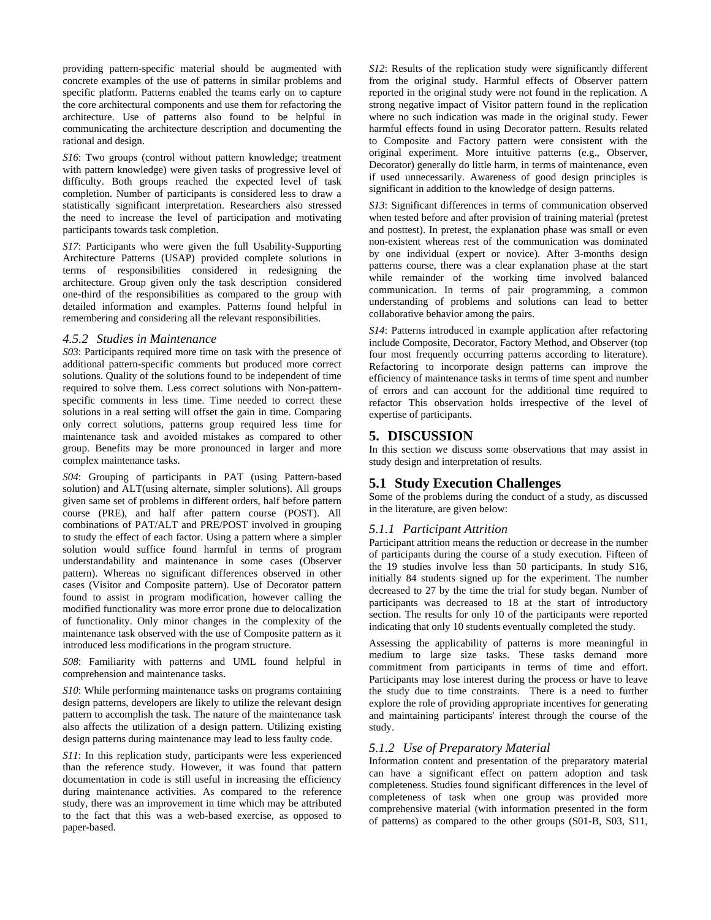providing pattern-specific material should be augmented with concrete examples of the use of patterns in similar problems and specific platform. Patterns enabled the teams early on to capture the core architectural components and use them for refactoring the architecture. Use of patterns also found to be helpful in communicating the architecture description and documenting the rational and design.

*S16*: Two groups (control without pattern knowledge; treatment with pattern knowledge) were given tasks of progressive level of difficulty. Both groups reached the expected level of task completion. Number of participants is considered less to draw a statistically significant interpretation. Researchers also stressed the need to increase the level of participation and motivating participants towards task completion.

*S17*: Participants who were given the full Usability-Supporting Architecture Patterns (USAP) provided complete solutions in terms of responsibilities considered in redesigning the architecture. Group given only the task description considered one-third of the responsibilities as compared to the group with detailed information and examples. Patterns found helpful in remembering and considering all the relevant responsibilities.

#### *4.5.2 Studies in Maintenance*

*S03*: Participants required more time on task with the presence of additional pattern-specific comments but produced more correct solutions. Quality of the solutions found to be independent of time required to solve them. Less correct solutions with Non-patternspecific comments in less time. Time needed to correct these solutions in a real setting will offset the gain in time. Comparing only correct solutions, patterns group required less time for maintenance task and avoided mistakes as compared to other group. Benefits may be more pronounced in larger and more complex maintenance tasks.

*S04*: Grouping of participants in PAT (using Pattern-based solution) and ALT(using alternate, simpler solutions). All groups given same set of problems in different orders, half before pattern course (PRE), and half after pattern course (POST). All combinations of PAT/ALT and PRE/POST involved in grouping to study the effect of each factor. Using a pattern where a simpler solution would suffice found harmful in terms of program understandability and maintenance in some cases (Observer pattern). Whereas no significant differences observed in other cases (Visitor and Composite pattern). Use of Decorator pattern found to assist in program modification, however calling the modified functionality was more error prone due to delocalization of functionality. Only minor changes in the complexity of the maintenance task observed with the use of Composite pattern as it introduced less modifications in the program structure.

*S08*: Familiarity with patterns and UML found helpful in comprehension and maintenance tasks.

*S10*: While performing maintenance tasks on programs containing design patterns, developers are likely to utilize the relevant design pattern to accomplish the task. The nature of the maintenance task also affects the utilization of a design pattern. Utilizing existing design patterns during maintenance may lead to less faulty code.

*S11*: In this replication study, participants were less experienced than the reference study. However, it was found that pattern documentation in code is still useful in increasing the efficiency during maintenance activities. As compared to the reference study, there was an improvement in time which may be attributed to the fact that this was a web-based exercise, as opposed to paper-based.

*S12*: Results of the replication study were significantly different from the original study. Harmful effects of Observer pattern reported in the original study were not found in the replication. A strong negative impact of Visitor pattern found in the replication where no such indication was made in the original study. Fewer harmful effects found in using Decorator pattern. Results related to Composite and Factory pattern were consistent with the original experiment. More intuitive patterns (e.g., Observer, Decorator) generally do little harm, in terms of maintenance, even if used unnecessarily. Awareness of good design principles is significant in addition to the knowledge of design patterns.

*S13*: Significant differences in terms of communication observed when tested before and after provision of training material (pretest and posttest). In pretest, the explanation phase was small or even non-existent whereas rest of the communication was dominated by one individual (expert or novice). After 3-months design patterns course, there was a clear explanation phase at the start while remainder of the working time involved balanced communication. In terms of pair programming, a common understanding of problems and solutions can lead to better collaborative behavior among the pairs.

*S14*: Patterns introduced in example application after refactoring include Composite, Decorator, Factory Method, and Observer (top four most frequently occurring patterns according to literature). Refactoring to incorporate design patterns can improve the efficiency of maintenance tasks in terms of time spent and number of errors and can account for the additional time required to refactor This observation holds irrespective of the level of expertise of participants.

# **5. DISCUSSION**

In this section we discuss some observations that may assist in study design and interpretation of results.

# **5.1 Study Execution Challenges**

Some of the problems during the conduct of a study, as discussed in the literature, are given below:

#### *5.1.1 Participant Attrition*

Participant attrition means the reduction or decrease in the number of participants during the course of a study execution. Fifteen of the 19 studies involve less than 50 participants. In study S16, initially 84 students signed up for the experiment. The number decreased to 27 by the time the trial for study began. Number of participants was decreased to 18 at the start of introductory section. The results for only 10 of the participants were reported indicating that only 10 students eventually completed the study.

Assessing the applicability of patterns is more meaningful in medium to large size tasks. These tasks demand more commitment from participants in terms of time and effort. Participants may lose interest during the process or have to leave the study due to time constraints. There is a need to further explore the role of providing appropriate incentives for generating and maintaining participants' interest through the course of the study.

#### *5.1.2 Use of Preparatory Material*

Information content and presentation of the preparatory material can have a significant effect on pattern adoption and task completeness. Studies found significant differences in the level of completeness of task when one group was provided more comprehensive material (with information presented in the form of patterns) as compared to the other groups (S01-B, S03, S11,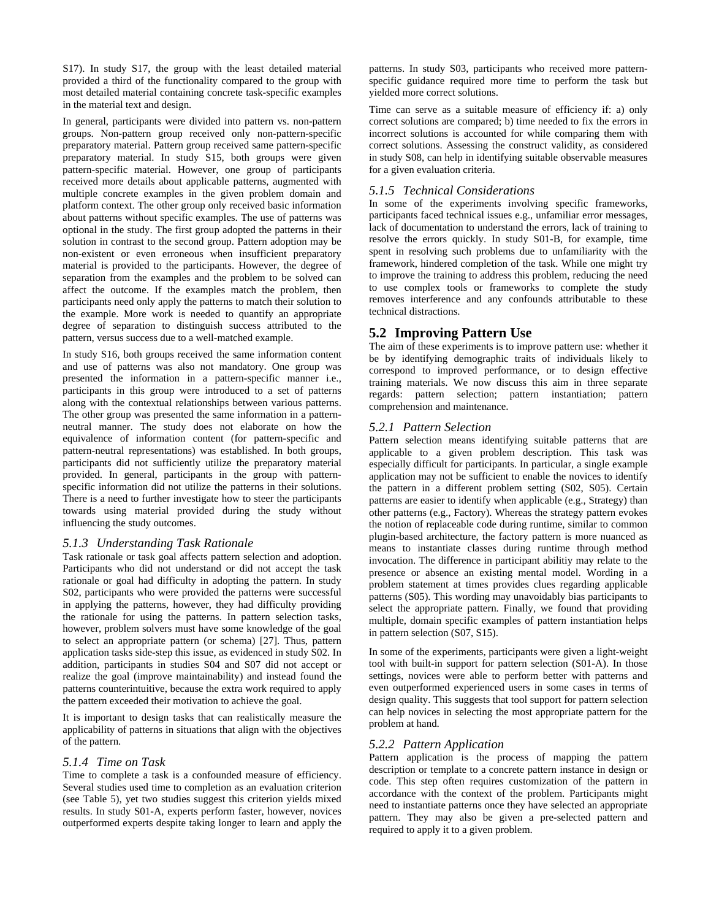S17). In study S17, the group with the least detailed material provided a third of the functionality compared to the group with most detailed material containing concrete task-specific examples in the material text and design.

In general, participants were divided into pattern vs. non-pattern groups. Non-pattern group received only non-pattern-specific preparatory material. Pattern group received same pattern-specific preparatory material. In study S15, both groups were given pattern-specific material. However, one group of participants received more details about applicable patterns, augmented with multiple concrete examples in the given problem domain and platform context. The other group only received basic information about patterns without specific examples. The use of patterns was optional in the study. The first group adopted the patterns in their solution in contrast to the second group. Pattern adoption may be non-existent or even erroneous when insufficient preparatory material is provided to the participants. However, the degree of separation from the examples and the problem to be solved can affect the outcome. If the examples match the problem, then participants need only apply the patterns to match their solution to the example. More work is needed to quantify an appropriate degree of separation to distinguish success attributed to the pattern, versus success due to a well-matched example.

In study S16, both groups received the same information content and use of patterns was also not mandatory. One group was presented the information in a pattern-specific manner i.e., participants in this group were introduced to a set of patterns along with the contextual relationships between various patterns. T he other group was presented the same information in a patternneutral manner. The study does not elaborate on how the equivalence of information content (for pattern-specific and pattern-neutral representations) was established. In both groups, participants did not sufficiently utilize the preparatory material provided. In general, participants in the group with patternspecific information did not utilize the patterns in their solutions. There is a need to further investigate how to steer the participants towards using material provided during the study without influencing the study outcomes.

#### *5.1.3 Understanding Task Rationale*

Task rationale or task goal affects pattern selection and adoption. Participants who did not understand or did not accept the task rationale or goal had difficulty in adopting the pattern. In study S02, participants who were provided the patterns were successful in applying the patterns, however, they had difficulty providing the rationale for using the patterns. In pattern selection tasks, however, problem solvers must have some knowledge of the goal to select an appropriate pattern (or schema) [\[27\]](#page-10-5). Thus, pattern application tasks side-step this issue, as evidenced in study S02. In addition, participants in studies S04 and S07 did not accept or realize the goal (improve maintainability) and instead found the patterns counterintuitive, because the extra work required to apply the pattern exceeded their motivation to achieve the goal.

It is important to design tasks that can realistically measure the applicability of patterns in situations that align with the objectives of the pattern.

#### *5.1.4 Time on Task*

Time to complete a task is a confounded measure of efficiency. Several studies used time to completion as an evaluation criterion (see Table 5), yet two studies suggest this criterion yields mixed results. In study S01-A, experts perform faster, however, novices outperformed experts despite taking longer to learn and apply the

patterns. In study S03, participants who received more patternspecific guidance required more time to perform the task but yielded more correct solutions.

Time can serve as a suitable measure of efficiency if: a) only correct solutions are compared; b) time needed to fix the errors in incorrect solutions is accounted for while comparing them with correct solutions. Assessing the construct validity, as considered in study S08, can help in identifying suitable observable measures for a given evaluation criteria.

#### *5.1.5 Technical Considerations*

In some of the experiments involving specific frameworks, participants faced technical issues e.g., unfamiliar error messages, lack of documentation to understand the errors, lack of training to resolve the errors quickly. In study S01-B, for example, time spent in resolving such problems due to unfamiliarity with the framework, hindered completion of the task. While one might try to improve the training to address this problem, reducing the need to use complex tools or frameworks to complete the study removes interference and any confounds attributable to these technical distractions.

## **5.2 Improving Pattern Use**

The aim of these experiments is to improve pattern use: whether it be by identifying demographic traits of individuals likely to correspond to improved performance, or to design effective training materials. We now discuss this aim in three separate regards: pattern selection; pattern instantiation; pattern comprehension and maintenance.

#### *5.2.1 Pattern Selection*

Pattern selection means identifying suitable patterns that are applicable to a given problem description. This task was especially difficult for participants. In particular, a single example application may not be sufficient to enable the novices to identify the pattern in a different problem setting (S02, S05). Certain patterns are easier to identify when applicable (e.g., Strategy) than other patterns (e.g., Factory). Whereas the strategy pattern evokes the notion of replaceable code during runtime, similar to common plugin-based architecture, the factory pattern is more nuanced as means to instantiate classes during runtime through method invocation. The difference in participant abilitiy may relate to the presence or absence an existing mental model. Wording in a problem statement at times provides clues regarding applicable patterns (S05). This wording may unavoidably bias participants to select the appropriate pattern. Finally, we found that providing multiple, domain specific examples of pattern instantiation helps in pattern selection (S07, S15).

In some of the experiments, participants were given a light-weight tool with built-in support for pattern selection (S01-A). In those settings, novices were able to perform better with patterns and even outperformed experienced users in some cases in terms of design quality. This suggests that tool support for pattern selection can help novices in selecting the most appropriate pattern for the problem at hand.

#### *5.2.2 Pattern Application*

Pattern application is the process of mapping the pattern description or template to a concrete pattern instance in design or code. This step often requires customization of the pattern in accordance with the context of the problem. Participants might need to instantiate patterns once they have selected an appropriate pattern. They may also be given a pre-selected pattern and required to apply it to a given problem.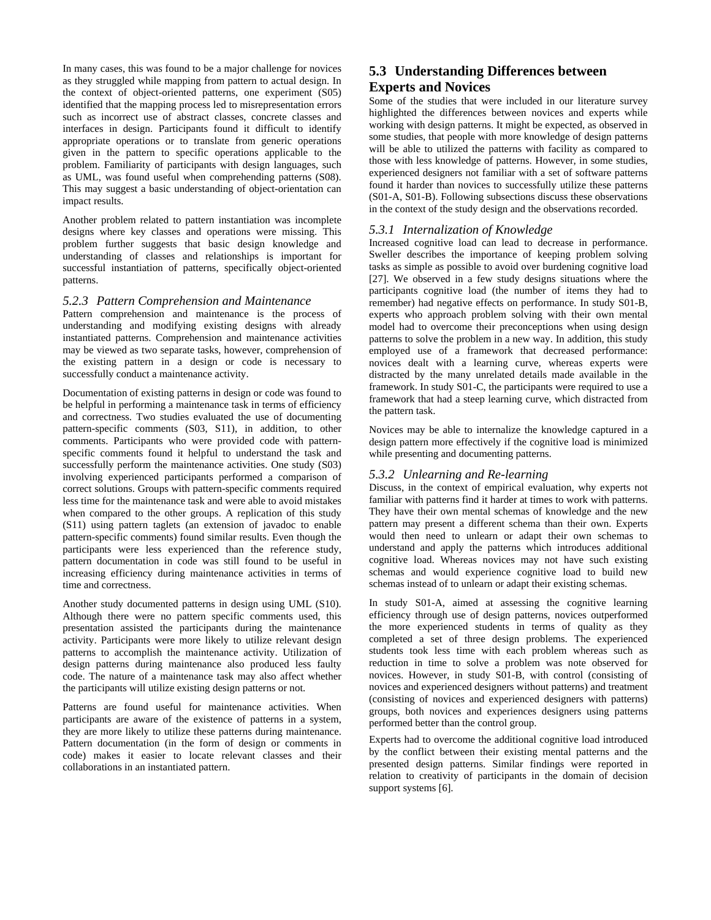In many cases, this was found to be a major challenge for novices as they struggled while mapping from pattern to actual design. In the context of object-oriented patterns, one experiment (S05) identified that the mapping process led to misrepresentation errors such as incorrect use of abstract classes, concrete classes and interfaces in design. Participants found it difficult to identify appropriate operations or to translate from generic operations given in the pattern to specific operations applicable to the problem. Familiarity of participants with design languages, such as UML, was found useful when comprehending patterns (S08). This may suggest a basic understanding of object-orientation can impact results.

Another problem related to pattern instantiation was incomplete designs where key classes and operations were missing. This problem further suggests that basic design knowledge and understanding of classes and relationships is important for successful instantiation of patterns, specifically object-oriented patterns.

#### *5.2.3 Pattern Comprehension and Maintenance*

Pattern comprehension and maintenance is the process of understanding and modifying existing designs with already instantiated patterns. Comprehension and maintenance activities may be viewed as two separate tasks, however, comprehension of the existing pattern in a design or code is necessary to successfully conduct a maintenance activity.

Documentation of existing patterns in design or code was found to be helpful in performing a maintenance task in terms of efficiency and correctness. Two studies evaluated the use of documenting pattern-specific comments (S03, S11), in addition, to other comments. Participants who were provided code with patternspecific comments found it helpful to understand the task and successfully perform the maintenance activities. One study (S03) involving experienced participants performed a comparison of correct solutions. Groups with pattern-specific comments required less time for the maintenance task and were able to avoid mistakes when compared to the other groups. A replication of this study (S11) using pattern taglets (an extension of javadoc to enable pattern-specific comments) found similar results. Even though the participants were less experienced than the reference study, pattern documentation in code was still found to be useful in increasing efficiency during maintenance activities in terms of time and correctness.

Another study documented patterns in design using UML (S10). Although there were no pattern specific comments used, this presentation assisted the participants during the maintenance activity. Participants were more likely to utilize relevant design patterns to accomplish the maintenance activity. Utilization of design patterns during maintenance also produced less faulty code. The nature of a maintenance task may also affect whether the participants will utilize existing design patterns or not.

Patterns are found useful for maintenance activities. When participants are aware of the existence of patterns in a system, they are more likely to utilize these patterns during maintenance. Pattern documentation (in the form of design or comments in code) makes it easier to locate relevant classes and their collaborations in an instantiated pattern.

# **5.3 Understanding Differences between Experts and Novices**

Some of the studies that were included in our literature survey highlighted the differences between novices and experts while working with design patterns. It might be expected, as observed in some studies, that people with more knowledge of design patterns will be able to utilized the patterns with facility as compared to those with less knowledge of patterns. However, in some studies, experienced designers not familiar with a set of software patterns found it harder than novices to successfully utilize these patterns (S01-A, S01-B). Following subsections discuss these observations in the context of the study design and the observations recorded.

## *5.3.1 Internalization of Knowledge*

Increased cognitive load can lead to decrease in performance. Sweller describes the importance of keeping problem solving tasks as simple as possible to avoid over burdening cognitive load [\[27\]](#page-10-5). We observed in a few study designs situations where the participants cognitive load (the number of items they had to remember) had negative effects on performance. In study S01-B, experts who approach problem solving with their own mental model had to overcome their preconceptions when using design patterns to solve the problem in a new way. In addition, this study employed use of a framework that decreased performance: novices dealt with a learning curve, whereas experts were distracted by the many unrelated details made available in the framework. In study S01-C, the participants were required to use a framework that had a steep learning curve, which distracted from the pattern task.

Novices may be able to internalize the knowledge captured in a design pattern more effectively if the cognitive load is minimized while presenting and documenting patterns.

## *5.3.2 Unlearning and Re-learning*

Discuss, in the context of empirical evaluation, why experts not familiar with patterns find it harder at times to work with patterns. They have their own mental schemas of knowledge and the new pattern may present a different schema than their own. Experts would then need to unlearn or adapt their own schemas to understand and apply the patterns which introduces additional cognitive load. Whereas novices may not have such existing schemas and would experience cognitive load to build new schemas instead of to unlearn or adapt their existing schemas.

In study S01-A, aimed at assessing the cognitive learning efficiency through use of design patterns, novices outperformed the more experienced students in terms of quality as they completed a set of three design problems. The experienced students took less time with each problem whereas such as reduction in time to solve a problem was note observed for novices. However, in study S01-B, with control (consisting of novices and experienced designers without patterns) and treatment (consisting of novices and experienced designers with patterns) groups, both novices and experiences designers using patterns performed better than the control group.

Experts had to overcome the additional cognitive load introduced by the conflict between their existing mental patterns and the presented design patterns. Similar findings were reported in relation to creativity of participants in the domain of decision support systems [\[6\]](#page-9-24).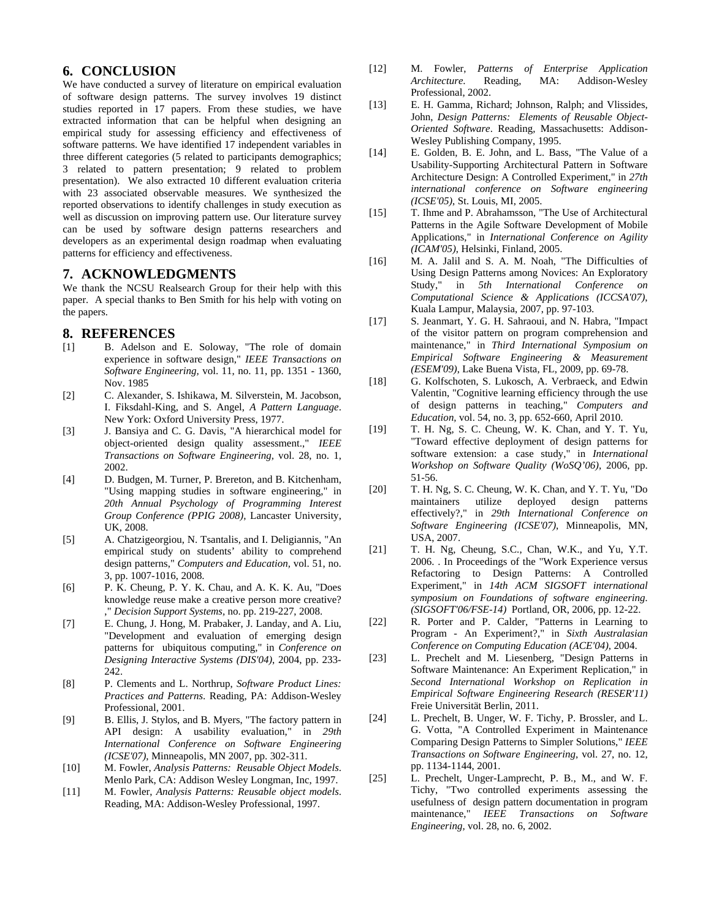# **6. CONCLUSION**

We have conducted a survey of literature on empirical evaluation of software design patterns. The survey involves 19 distinct studies reported in 17 papers. From these studies, we have extracted information that can be helpful when designing an empirical study for assessing efficiency and effectiveness of software patterns. We have identified 17 independent variables in three different categories (5 related to participants demographics; 3 related to pattern presentation; 9 related to problem presentation). We also extracted 10 different evaluation criteria with 23 associated observable measures. We synthesized the reported observations to identify challenges in study execution as well as discussion on improving pattern use. Our literature survey can be used by software design patterns researchers and developers as an experimental design roadmap when evaluating patterns for efficiency and effectiveness.

#### **7. ACKNOWLEDGMENTS**

We thank the NCSU Realsearch Group for their help with this paper. A special thanks to Ben Smith for his help with voting on the papers.

#### **8. REFERENCES**

- <span id="page-9-0"></span>[1] B. Adelson and E. Soloway, "The role of domain experience in software design," *IEEE Transactions on Software Engineering,* vol. 11, no. 11, pp. 1351 - 1360, Nov. 1985
- <span id="page-9-2"></span>[2] C. Alexander, S. Ishikawa, M. Silverstein, M. Jacobson, I. Fiksdahl-King, and S. Angel, *A Pattern Language*. New York: Oxford University Press, 1977.
- <span id="page-9-23"></span>[3] J. Bansiya and C. G. Davis, "A hierarchical model for object-oriented design quality assessment.," *IEEE Transactions on Software Engineering,* vol. 28, no. 1, 2002.
- <span id="page-9-5"></span>[4] D. Budgen, M. Turner, P. Brereton, and B. Kitchenham, "Using mapping studies in software engineering," in *20th Annual Psychology of Programming Interest Group Conference (PPIG 2008)*, Lancaster University, UK, 2008.
- <span id="page-9-9"></span>[5] A. Chatzigeorgiou, N. Tsantalis, and I. Deligiannis, "An empirical study on students' ability to comprehend design patterns," *Computers and Education,* vol. 51, no. 3, pp. 1007-1016, 2008.
- <span id="page-9-24"></span>[6] P. K. Cheung, P. Y. K. Chau, and A. K. K. Au, "Does knowledge reuse make a creative person more creative? ," *Decision Support Systems,* no. pp. 219-227, 2008.
- <span id="page-9-13"></span>[7] E. Chung, J. Hong, M. Prabaker, J. Landay, and A. Liu, "Development and evaluation of emerging design patterns for ubiquitous computing," in *Conference on Designing Interactive Systems (DIS'04)*, 2004, pp. 233- 242.
- <span id="page-9-4"></span>[8] P. Clements and L. Northrup, *Software Product Lines: Practices and Patterns*. Reading, PA: Addison-Wesley Professional, 2001.
- <span id="page-9-14"></span>[9] B. Ellis, J. Stylos, and B. Myers, "The factory pattern in API design: A usability evaluation," in *29th International Conference on Software Engineering (ICSE'07)*, Minneapolis, MN 2007, pp. 302-311.
- <span id="page-9-3"></span>[10] M. Fowler, *Analysis Patterns: Reusable Object Models*. Menlo Park, CA: Addison Wesley Longman, Inc, 1997.
- <span id="page-9-6"></span>[11] M. Fowler, *Analysis Patterns: Reusable object models*. Reading, MA: Addison-Wesley Professional, 1997.
- <span id="page-9-7"></span>[12] M. Fowler, *Patterns of Enterprise Application Architecture*. Reading, MA: Addison-Wesley Professional, 2002.
- <span id="page-9-1"></span>[13] E. H. Gamma, Richard; Johnson, Ralph; and Vlissides, John, *Design Patterns: Elements of Reusable Object-Oriented Software*. Reading, Massachusetts: Addison-Wesley Publishing Company, 1995.
- <span id="page-9-21"></span>[14] E. Golden, B. E. John, and L. Bass, "The Value of a Usability-Supporting Architectural Pattern in Software Architecture Design: A Controlled Experiment," in *27th international conference on Software engineering (ICSE'05)*, St. Louis, MI, 2005.
- <span id="page-9-19"></span>[15] T. Ihme and P. Abrahamsson, "The Use of Architectural Patterns in the Agile Software Development of Mobile Applications," in *International Conference on Agility (ICAM'05)*, Helsinki, Finland, 2005.
- <span id="page-9-12"></span>[16] M. A. Jalil and S. A. M. Noah, "The Difficulties of Using Design Patterns among Novices: An Exploratory Study," in *5th International Conference on Computational Science & Applications (ICCSA'07)*, Kuala Lampur, Malaysia, 2007, pp. 97-103.
- <span id="page-9-15"></span>[17] S. Jeanmart, Y. G. H. Sahraoui, and N. Habra, "Impact of the visitor pattern on program comprehension and maintenance," in *Third International Symposium on Empirical Software Engineering & Measurement (ESEM'09)*, Lake Buena Vista, FL, 2009, pp. 69-78.
- <span id="page-9-8"></span>[18] G. Kolfschoten, S. Lukosch, A. Verbraeck, and Edwin Valentin, "Cognitive learning efficiency through the use of design patterns in teaching," *Computers and Education,* vol. 54, no. 3, pp. 652-660, April 2010.
- <span id="page-9-16"></span>[19] T. H. Ng, S. C. Cheung, W. K. Chan, and Y. T. Yu, "Toward effective deployment of design patterns for software extension: a case study," in *International Workshop on Software Quality (WoSQ'06)*, 2006, pp. 51-56.
- <span id="page-9-17"></span>[20] T. H. Ng, S. C. Cheung, W. K. Chan, and Y. T. Yu, "Do maintainers utilize deployed design patterns effectively?," in *29th International Conference on Software Engineering (ICSE'07)*, Minneapolis, MN, USA, 2007.
- <span id="page-9-18"></span>[21] T. H. Ng, Cheung, S.C., Chan, W.K., and Yu, Y.T. 2006. . In Proceedings of the "Work Experience versus Refactoring to Design Patterns: A Controlled Experiment," in *14th ACM SIGSOFT international symposium on Foundations of software engineering. (SIGSOFT'06/FSE-14)* Portland, OR, 2006, pp. 12-22.
- <span id="page-9-20"></span>[22] R. Porter and P. Calder, "Patterns in Learning to Program - An Experiment?," in *Sixth Australasian Conference on Computing Education (ACE'04)*, 2004.
- <span id="page-9-22"></span>[23] L. Prechelt and M. Liesenberg, "Design Patterns in Software Maintenance: An Experiment Replication," in *Second International Workshop on Replication in Empirical Software Engineering Research (RESER'11)*  Freie Universität Berlin, 2011.
- <span id="page-9-11"></span>[24] L. Prechelt, B. Unger, W. F. Tichy, P. Brossler, and L. G. Votta, "A Controlled Experiment in Maintenance Comparing Design Patterns to Simpler Solutions," *IEEE Transactions on Software Engineering,* vol. 27, no. 12, pp. 1134-1144, 2001.
- <span id="page-9-10"></span>[25] L. Prechelt, Unger-Lamprecht, P. B., M., and W. F. Tichy, "Two controlled experiments assessing the usefulness of design pattern documentation in program maintenance," *IEEE Transactions on Software Engineering,* vol. 28, no. 6, 2002.